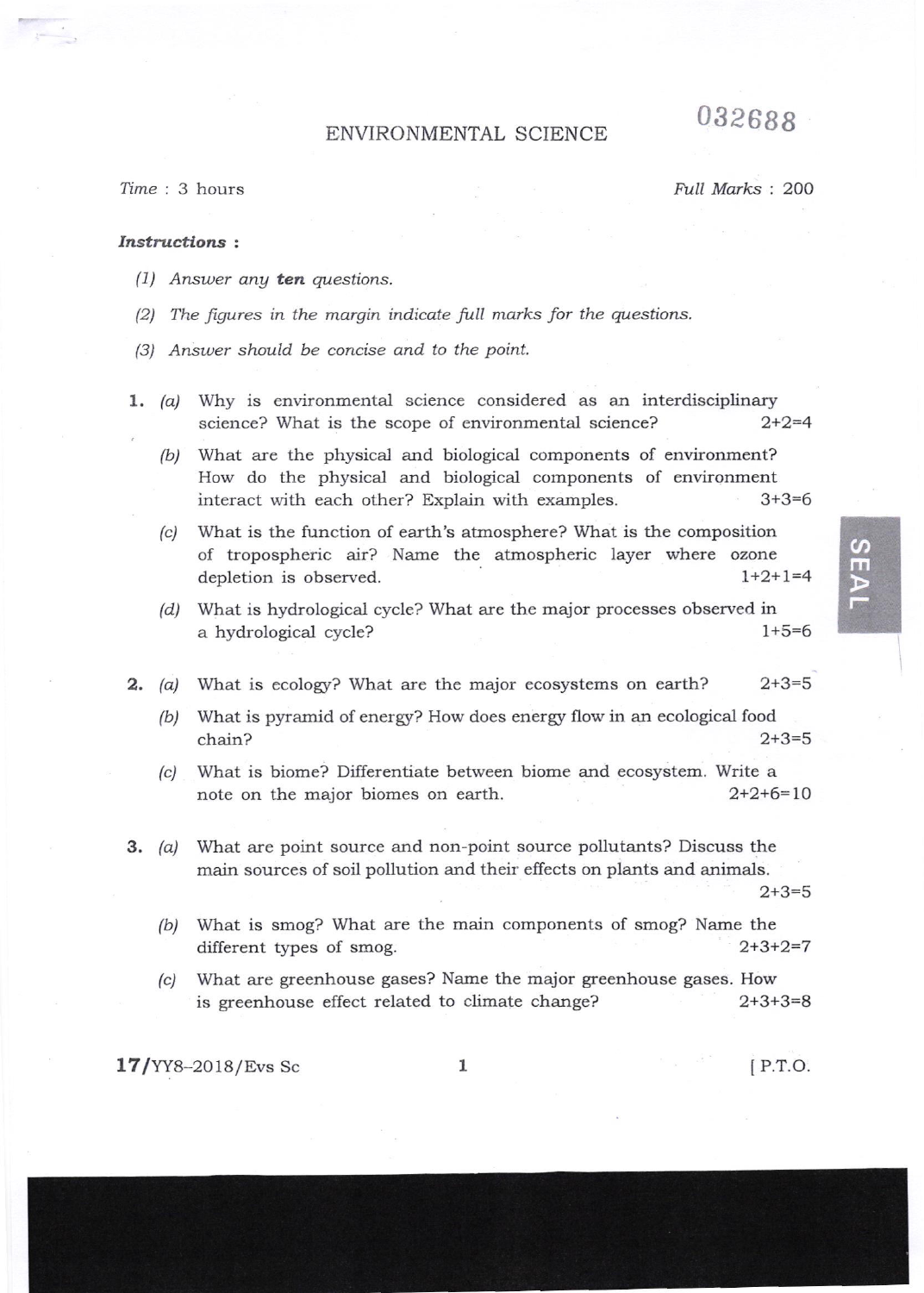## 032688

## ENVIRONMENTAL SCIENCE

Time : 3 hours Full Marks : 200

## Instractions '.

- (1) Answer any ten questions.
- $(2)$  The figures in the margin indicate full marks for the questions.
- (3) Answer should be concise and to the point.
- 1.  $(a)$  Why is environmental science considered as an interdisciplinary science? What is the scope of environmental science?  $2+2=4$ 
	- (b) What are the physical and biological components of environment? How do the physical and biological components of environment interact with each other? Explain with exampies. 3+3=6
	- (c) What is the function of earth's atmosphere? What is the composition of tropospheric air? Name the atmospheric layer where ozone depletion is observed.  $1+2+1=4$
	- (d) What is hydrological cycle? What are the major processes observed in a hydrological cycle? 1+5=6
- $2. (a)$ What is ecology? What are the major ecosystems on earth?  $2+3=5$ 
	- (b) What is pyramid of energy? How does energy flow in an ecological food chain? 2+3=5
	- (c) What is biome? Differentiate between biome and ecosystem. Write a note on the major biomes on earth.  $2+2+6=10$
- 3. (a) What are point source and non-point source pollutants? Discuss the main sources of soil pollution and their effects on plants and animals.

 $2+3=5$ 

 $\boldsymbol{\sigma}$ m

- (b) What is smog? What are the main components of smog? Name the different types of smog.  $2+3+2=7$
- What are greenhouse gases? Name the major greenhouse gases. How is greenhouse effect related to climate change?  $2+3+3=8$ (c)

 $17/YY8-2018/Exs$  Sc  $1$  [P.T.O.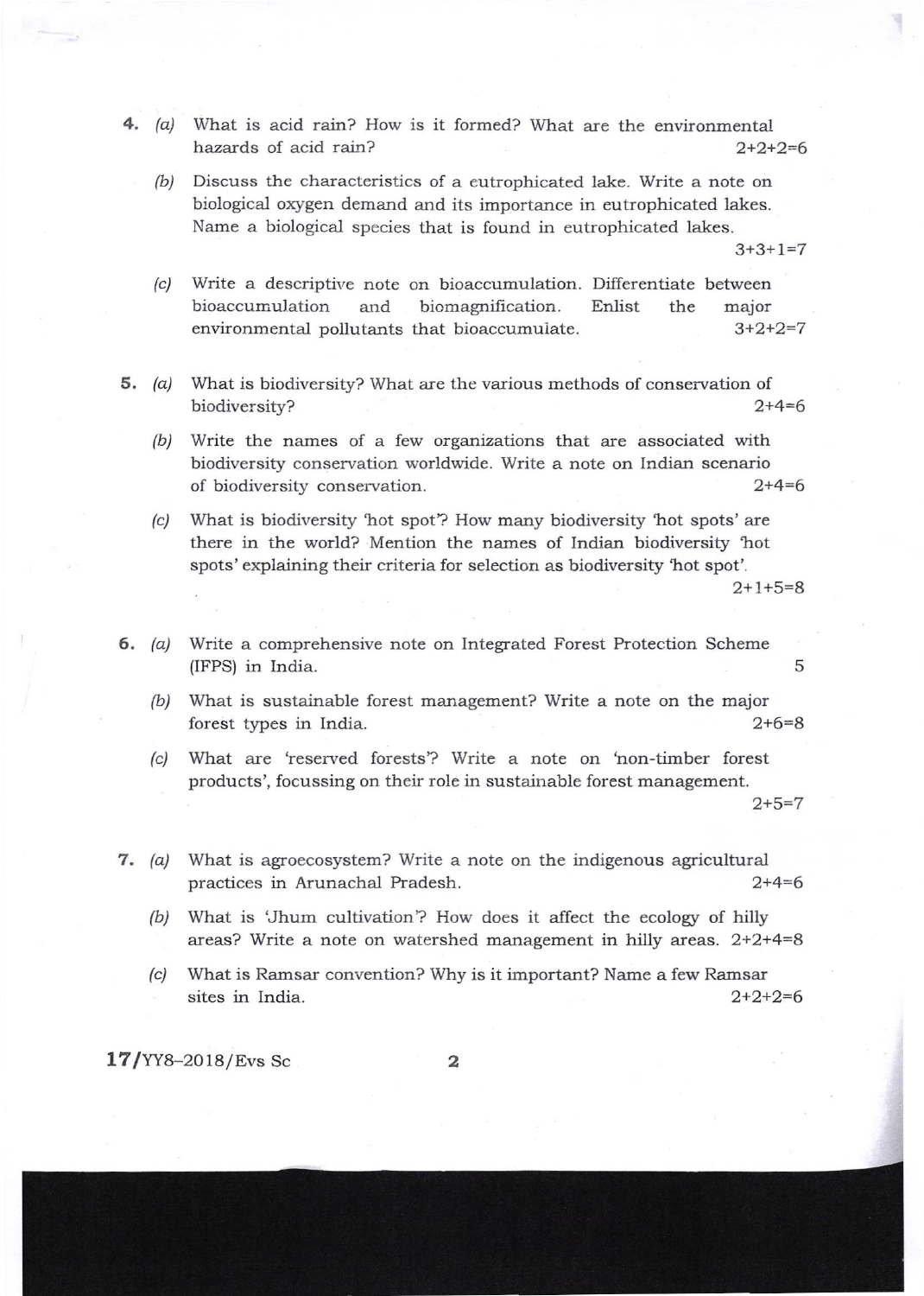- 4.  $(a)$  What is acid rain? How is it formed? What are the environmental hazards of acid rain?  $2+2+2=6$ 
	- (b) Discuss the characteristics of a eutrophicated lake. Write a note on biological oxygen demand and its importance in eutrophicated lakes. Name a biological species that is found in eutrophicated lakes.

 $3+3+1=7$ 

- (.) Write a descriptive note on bioaccumulation Differentiate between bioaccumulation and biomagnification. environmental pollutants that bioaccumulate. Enlist the major 3+2+2=7
- 5. (a) What is biodiversity? What are the various methods of conservation of biodiversity? 2+4=6
	- (b) Write the narnes of a few organizations that are associated with biodiversity conservation worldwide. Write a note on Indian scenario of biodiversity conservation. 2+4=6
	- (c) What is biodiversity 'hot spot'? How many biodiversity 'hot spots' are there in the world? Mention the names of Indian biodiversity 'hot spots' explaining their criteria for selection as biodiversity 'hot spot'.

 $2+1+5=8$ 

- 6. (a) Write a comprehensive note on Integrated Forest Protection Scheme (IFPS) in India. <sup>5</sup>
	- (b) What is sustainable forest management? Write a note on the major forest types in India. 2+6=8
	- (c) What are 'reserved forests'? Write a note on 'non-timber forest products', focussing on their role in sustainable forest management.

 $2+5=7$ 

- 7. (a) What is agroecosystem? Write a note on the indigenous agricultural practices in Arunachal Pradesh. 2+4=6
	- (b) What is 'Jhum cultivation'? How does it affect the ecology of hilly areas? Write a note on watershed management in hilly areas.  $2+2+4=8$
	- (c) What is Ramsar convention? Why is it important? Name a few Ramsar sites in India.  $2+2+2=6$

17/YYs-2018/Evs Sc 2